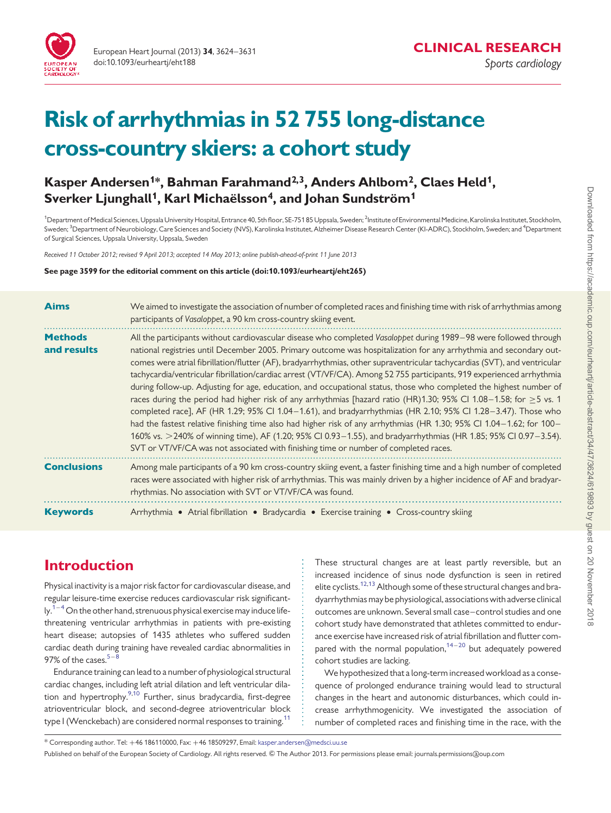

European Heart Journal (2013) 34, 3624–3631 doi:10.1093/eurheartj/eht188

# Risk of arrhythmias in 52 755 long-distance cross-country skiers: a cohort study

# Kasper Andersen<sup>1\*</sup>, Bahman Farahmand<sup>2,3</sup>, Anders Ahlbom<sup>2</sup>, Claes Held<sup>1</sup>, Sverker Ljunghall<sup>1</sup>, Karl Michaëlsson<sup>4</sup>, and Johan Sundström<sup>1</sup>

<sup>1</sup>Department of Medical Sciences, Uppsala University Hospital, Entrance 40, 5th floor, SE-751 85 Uppsala, Sweden; <sup>2</sup>Institute of Environmental Medicine, Karolinska Institutet, Stockholm, Sweden; <sup>3</sup>Department of Neurobiology, Care Sciences and Society (NVS), Karolinska Institutet, Alzheimer Disease Research Center (KI-ADRC), Stockholm, Sweden; and <sup>4</sup>Department of Surgical Sciences, Uppsala University, Uppsala, Sweden

Received 11 October 2012; revised 9 April 2013; accepted 14 May 2013; online publish-ahead-of-print 11 June 2013

See page 3599 for the editorial comment on this article (doi:10.1093/eurheartj/eht265)

| <b>Aims</b>                   | We aimed to investigate the association of number of completed races and finishing time with risk of arrhythmias among<br>participants of Vasaloppet, a 90 km cross-country skiing event.                                                                                                                                                                                                                                                                                                                                                                                                                                                                                                                                                                                                                                                                                                                                                                                                                                                                                                                                                                                                          |
|-------------------------------|----------------------------------------------------------------------------------------------------------------------------------------------------------------------------------------------------------------------------------------------------------------------------------------------------------------------------------------------------------------------------------------------------------------------------------------------------------------------------------------------------------------------------------------------------------------------------------------------------------------------------------------------------------------------------------------------------------------------------------------------------------------------------------------------------------------------------------------------------------------------------------------------------------------------------------------------------------------------------------------------------------------------------------------------------------------------------------------------------------------------------------------------------------------------------------------------------|
| <b>Methods</b><br>and results | All the participants without cardiovascular disease who completed Vasaloppet during 1989–98 were followed through<br>national registries until December 2005. Primary outcome was hospitalization for any arrhythmia and secondary out-<br>comes were atrial fibrillation/flutter (AF), bradyarrhythmias, other supraventricular tachycardias (SVT), and ventricular<br>tachycardia/ventricular fibrillation/cardiac arrest (VT/VF/CA). Among 52 755 participants, 919 experienced arrhythmia<br>during follow-up. Adjusting for age, education, and occupational status, those who completed the highest number of<br>races during the period had higher risk of any arrhythmias [hazard ratio (HR)1.30; 95% CI 1.08-1.58; for $\geq$ 5 vs. 1<br>completed race], AF (HR 1.29; 95% CI 1.04-1.61), and bradyarrhythmias (HR 2.10; 95% CI 1.28-3.47). Those who<br>had the fastest relative finishing time also had higher risk of any arrhythmias (HR 1.30; 95% CI 1.04-1.62; for 100-<br>160% vs. > 240% of winning time), AF (1.20; 95% CI 0.93-1.55), and bradyarrhythmias (HR 1.85; 95% CI 0.97-3.54).<br>SVT or VT/VF/CA was not associated with finishing time or number of completed races. |
| <b>Conclusions</b>            | Among male participants of a 90 km cross-country skiing event, a faster finishing time and a high number of completed<br>races were associated with higher risk of arrhythmias. This was mainly driven by a higher incidence of AF and bradyar-<br>rhythmias. No association with SVT or VT/VF/CA was found.                                                                                                                                                                                                                                                                                                                                                                                                                                                                                                                                                                                                                                                                                                                                                                                                                                                                                       |
| <b>Keywords</b>               | Arrhythmia • Atrial fibrillation • Bradycardia • Exercise training • Cross-country skiing                                                                                                                                                                                                                                                                                                                                                                                                                                                                                                                                                                                                                                                                                                                                                                                                                                                                                                                                                                                                                                                                                                          |

# Introduction

Physical inactivity is a major risk factor for cardiovascular disease, and regular leisure-time exercise reduces cardiovascular risk significant- $1y^{1-4}$  $1y^{1-4}$  $1y^{1-4}$  $1y^{1-4}$  On the other hand, strenuous physical exercise may induce lifethreatening ventricular arrhythmias in patients with pre-existing heart disease; autopsies of 1435 athletes who suffered sudden cardiac death during training have revealed cardiac abnormalities in 97% of the cases.<sup>5- $\overline{8}$  $\overline{8}$  $\overline{8}$ </sup>

Endurance training can lead to a number of physiological structural cardiac changes, including left atrial dilation and left ventricular dila-tion and hypertrophy.<sup>[9,10](#page-6-0)</sup> Further, sinus bradycardia, first-degree atrioventricular block, and second-degree atrioventricular block type I (Wenckebach) are considered normal responses to training.<sup>11</sup>

These structural changes are at least partly reversible, but an increased incidence of sinus node dysfunction is seen in retired elite cyclists.<sup>[12,13](#page-6-0)</sup> Although some of these structural changes and bradyarrhythmias may be physiological, associations with adverse clinical outcomes are unknown. Several small case–control studies and one cohort study have demonstrated that athletes committed to endurance exercise have increased risk of atrial fibrillation and flutter compared with the normal population, $14-20$  $14-20$  $14-20$  but adequately powered cohort studies are lacking.

We hypothesized that a long-term increased workload as a consequence of prolonged endurance training would lead to structural changes in the heart and autonomic disturbances, which could increase arrhythmogenicity. We investigated the association of number of completed races and finishing time in the race, with the

Published on behalf of the European Society of Cardiology. All rights reserved. © The Author 2013. For permissions please email: journals.permissions@oup.com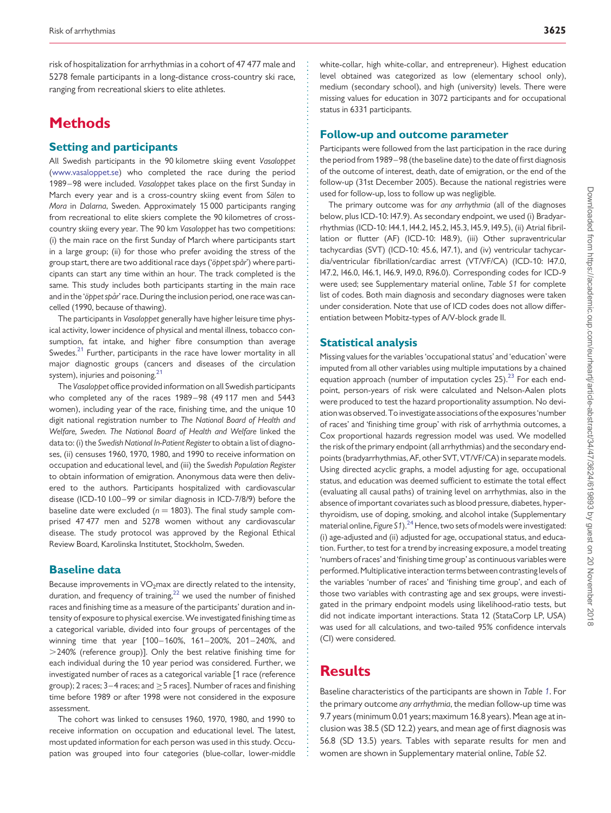risk of hospitalization for arrhythmias in a cohort of 47 477 male and 5278 female participants in a long-distance cross-country ski race, ranging from recreational skiers to elite athletes.

# **Methods**

#### Setting and participants

All Swedish participants in the 90 kilometre skiing event Vasaloppet ([www.vasaloppet.se\)](www.vasaloppet.se) who completed the race during the period 1989– 98 were included. Vasaloppet takes place on the first Sunday in March every year and is a cross-country skiing event from Sälen to Mora in Dalarna, Sweden. Approximately 15 000 participants ranging from recreational to elite skiers complete the 90 kilometres of crosscountry skiing every year. The 90 km Vasaloppet has two competitions: (i) the main race on the first Sunday of March where participants start in a large group; (ii) for those who prefer avoiding the stress of the group start, there are two additional race days ('öppet spår') where participants can start any time within an hour. The track completed is the same. This study includes both participants starting in the main race and in the 'öppet spår' race. During the inclusion period, one race was cancelled (1990, because of thawing).

The participants in Vasaloppet generally have higher leisure time physical activity, lower incidence of physical and mental illness, tobacco consumption, fat intake, and higher fibre consumption than average Swedes. $21$  Further, participants in the race have lower mortality in all major diagnostic groups (cancers and diseases of the circulation system), injuries and poisoning.<sup>21</sup>

The Vasaloppet office provided information on all Swedish participants who completed any of the races 1989-98 (49 117 men and 5443 women), including year of the race, finishing time, and the unique 10 digit national registration number to The National Board of Health and Welfare, Sweden. The National Board of Health and Welfare linked the data to: (i) the Swedish National In-Patient Register to obtain a list of diagnoses, (ii) censuses 1960, 1970, 1980, and 1990 to receive information on occupation and educational level, and (iii) the Swedish Population Register to obtain information of emigration. Anonymous data were then delivered to the authors. Participants hospitalized with cardiovascular disease (ICD-10 I.00-99 or similar diagnosis in ICD-7/8/9) before the baseline date were excluded ( $n = 1803$ ). The final study sample comprised 47 477 men and 5278 women without any cardiovascular disease. The study protocol was approved by the Regional Ethical Review Board, Karolinska Institutet, Stockholm, Sweden.

#### Baseline data

Because improvements in VO<sub>2</sub>max are directly related to the intensity, duration, and frequency of training, $^{22}$  $^{22}$  $^{22}$  we used the number of finished races and finishing time as a measure of the participants' duration and intensity of exposure to physical exercise.We investigated finishing time as a categorical variable, divided into four groups of percentages of the winning time that year [100-160%, 161-200%, 201-240%, and  $>$  240% (reference group)]. Only the best relative finishing time for each individual during the 10 year period was considered. Further, we investigated number of races as a categorical variable [1 race (reference group); 2 races;  $3-4$  races; and  $\geq$  5 races]. Number of races and finishing time before 1989 or after 1998 were not considered in the exposure assessment.

The cohort was linked to censuses 1960, 1970, 1980, and 1990 to receive information on occupation and educational level. The latest, most updated information for each person was used in this study. Occupation was grouped into four categories (blue-collar, lower-middle white-collar, high white-collar, and entrepreneur). Highest education level obtained was categorized as low (elementary school only), medium (secondary school), and high (university) levels. There were missing values for education in 3072 participants and for occupational status in 6331 participants.

#### Follow-up and outcome parameter

Participants were followed from the last participation in the race during the period from 1989 – 98 (the baseline date) to the date of first diagnosis of the outcome of interest, death, date of emigration, or the end of the follow-up (31st December 2005). Because the national registries were used for follow-up, loss to follow up was negligible.

The primary outcome was for any arrhythmia (all of the diagnoses below, plus ICD-10: I47.9). As secondary endpoint, we used (i) Bradyarrhythmias (ICD-10: I44.1, I44.2, I45.2, I45.3, I45.9, I49.5), (ii) Atrial fibrillation or flutter (AF) (ICD-10: I48.9), (iii) Other supraventricular tachycardias (SVT) (ICD-10: 45.6, I47.1), and (iv) ventricular tachycardia/ventricular fibrillation/cardiac arrest (VT/VF/CA) (ICD-10: I47.0, I47.2, I46.0, I46.1, I46.9, I49.0, R96.0). Corresponding codes for ICD-9 were used; see [Supplementary material online,](http://eurheartj.oxfordjournals.org/lookup/suppl/doi:10.1093/eurheartj/eht188/-/DC1) Table S1 for complete list of codes. Both main diagnosis and secondary diagnoses were taken under consideration. Note that use of ICD codes does not allow differentiation between Mobitz-types of A/V-block grade II.

#### Statistical analysis

Missing values for the variables 'occupational status' and 'education' were imputed from all other variables using multiple imputations by a chained equation approach (number of imputation cycles  $25$ ).<sup>[23](#page-6-0)</sup> For each endpoint, person-years of risk were calculated and Nelson-Aalen plots were produced to test the hazard proportionality assumption. No deviation was observed. To investigate associations of the exposures 'number of races' and 'finishing time group' with risk of arrhythmia outcomes, a Cox proportional hazards regression model was used. We modelled the risk of the primary endpoint (all arrhythmias) and the secondary endpoints (bradyarrhythmias, AF, other SVT, VT/VF/CA) in separate models. Using directed acyclic graphs, a model adjusting for age, occupational status, and education was deemed sufficient to estimate the total effect (evaluating all causal paths) of training level on arrhythmias, also in the absence of important covariates such as blood pressure, diabetes, hyperthyroidism, use of doping, smoking, and alcohol intake ([Supplementary](http://eurheartj.oxfordjournals.org/lookup/suppl/doi:10.1093/eurheartj/eht188/-/DC1) [material online,](http://eurheartj.oxfordjournals.org/lookup/suppl/doi:10.1093/eurheartj/eht188/-/DC1) Figure S1).<sup>[24](#page-6-0)</sup> Hence, two sets of models were investigated: (i) age-adjusted and (ii) adjusted for age, occupational status, and education. Further, to test for a trend by increasing exposure, a model treating 'numbers of races' and 'finishing time group' as continuous variables were performed. Multiplicative interaction terms between contrasting levels of the variables 'number of races' and 'finishing time group', and each of those two variables with contrasting age and sex groups, were investigated in the primary endpoint models using likelihood-ratio tests, but did not indicate important interactions. Stata 12 (StataCorp LP, USA) was used for all calculations, and two-tailed 95% confidence intervals (CI) were considered.

# **Results**

Baseline characteristics of the participants are shown in Table [1](#page-2-0). For the primary outcome any arrhythmia, the median follow-up time was 9.7 years (minimum 0.01 years; maximum 16.8 years). Mean age at inclusion was 38.5 (SD 12.2) years, and mean age of first diagnosis was 56.8 (SD 13.5) years. Tables with separate results for men and women are shown in [Supplementary material online,](http://eurheartj.oxfordjournals.org/lookup/suppl/doi:10.1093/eurheartj/eht188/-/DC1) Table S2.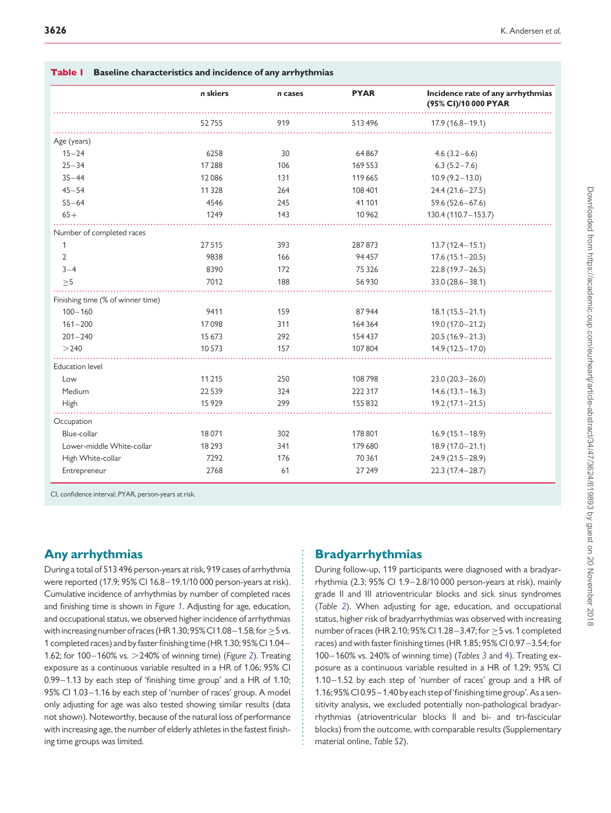|                                   | n skiers | n cases | <b>PYAR</b> | Incidence rate of any arrhythmias<br>(95% CI)/10 000 PYAR |
|-----------------------------------|----------|---------|-------------|-----------------------------------------------------------|
|                                   | 52755    | 919     | 513496      | $17.9(16.8 - 19.1)$                                       |
| Age (years)                       |          |         |             |                                                           |
| $15 - 24$                         | 6258     | 30      | 64867       | $4.6(3.2-6.6)$                                            |
| $25 - 34$                         | 17 288   | 106     | 169 553     | $6.3(5.2 - 7.6)$                                          |
| $35 - 44$                         | 12086    | 131     | 119 665     | $10.9(9.2 - 13.0)$                                        |
| $45 - 54$                         | 11 3 28  | 264     | 108 401     | $24.4(21.6 - 27.5)$                                       |
| $55 - 64$                         | 4546     | 245     | 41 101      | $59.6(52.6 - 67.6)$                                       |
| $65+$                             | 1249     | 143     | 10962       | 130.4 (110.7 - 153.7)                                     |
| Number of completed races         |          |         |             |                                                           |
| 1                                 | 27515    | 393     | 287873      | $13.7(12.4 - 15.1)$                                       |
| $\overline{2}$                    | 9838     | 166     | 94 457      | $17.6(15.1 - 20.5)$                                       |
| $3 - 4$                           | 8390     | 172     | 75 3 26     | $22.8(19.7-26.5)$                                         |
| >5                                | 7012     | 188     | 56 930      | $33.0(28.6 - 38.1)$                                       |
| Finishing time (% of winner time) |          |         |             |                                                           |
| $100 - 160$                       | 9411     | 159     | 87944       | $18.1(15.5 - 21.1)$                                       |
| $161 - 200$                       | 17098    | 311     | 164 364     | $19.0(17.0-21.2)$                                         |
| $201 - 240$                       | 15 6 73  | 292     | 154 437     | $20.5(16.9 - 21.3)$                                       |
| >240                              | 10573    | 157     | 107804      | $14.9(12.5 - 17.0)$                                       |
| <b>Education level</b>            |          |         |             |                                                           |
| Low                               | 11 2 15  | 250     | 108798      | $23.0(20.3 - 26.0)$                                       |
| Medium                            | 22 5 3 9 | 324     | 222 317     | $14.6(13.1 - 16.3)$                                       |
| High                              | 15 9 29  | 299     | 155832      | $19.2(17.1 - 21.5)$                                       |
| Occupation                        |          |         |             |                                                           |
| Blue-collar                       | 18071    | 302     | 178 801     | $16.9(15.1 - 18.9)$                                       |
| Lower-middle White-collar         | 18 2 9 3 | 341     | 179 680     | $18.9(17.0-21.1)$                                         |
| High White-collar                 | 7292     | 176     | 70 3 61     | $24.9(21.5-28.9)$                                         |
| Entrepreneur                      | 2768     | 61      | 27 249      | $22.3(17.4 - 28.7)$                                       |

<span id="page-2-0"></span>

| Table I Baseline characteristics and incidence of any arrhythmias |  |
|-------------------------------------------------------------------|--|
|-------------------------------------------------------------------|--|

CI, confidence interval; PYAR, person-years at risk.

# Any arrhythmias

During a total of 513 496 person-years at risk, 919 cases of arrhythmia were reported (17.9; 95% CI 16.8–19.1/10 000 person-years at risk). Cumulative incidence of arrhythmias by number of completed races and finishing time is shown in Figure [1](#page-3-0). Adjusting for age, education, and occupational status, we observed higher incidence of arrhythmias with increasing number of races (HR 1.30; 95% CI 1.08–1.58; for  $>$  5 vs. 1 completed races) and by faster finishing time (HR 1.30; 95%CI 1.04– 1.6[2](#page-3-0); for  $100-160\%$  vs.  $>$  240% of winning time) (Figure 2). Treating exposure as a continuous variable resulted in a HR of 1.06; 95% CI 0.99–1.13 by each step of 'finishing time group' and a HR of 1.10; 95% CI 1.03–1.16 by each step of 'number of races' group. A model only adjusting for age was also tested showing similar results (data not shown). Noteworthy, because of the natural loss of performance with increasing age, the number of elderly athletes in the fastest finishing time groups was limited.

# Bradyarrhythmias

During follow-up, 119 participants were diagnosed with a bradyarrhythmia (2.3; 95% CI 1.9 –2.8/10 000 person-years at risk), mainly grade II and III atrioventricular blocks and sick sinus syndromes (Table [2](#page-4-0)). When adjusting for age, education, and occupational status, higher risk of bradyarrhythmias was observed with increasing number of races (HR 2.10; 95% CI 1.28 – 3.47; for ≥ 5 vs. 1 completed races) and with faster finishing times (HR 1.85; 95% CI 0.97–3.54; for 100 –160% vs. 240% of winning time) (Tables [3](#page-4-0) and [4\)](#page-4-0). Treating exposure as a continuous variable resulted in a HR of 1.29; 95% CI 1.10–1.52 by each step of 'number of races' group and a HR of 1.16; 95%CI 0.95 –1.40 by each step of 'finishing time group'. As a sensitivity analysis, we excluded potentially non-pathological bradyarrhythmias (atrioventricular blocks II and bi- and tri-fascicular blocks) from the outcome, with comparable results [\(Supplementary](http://eurheartj.oxfordjournals.org/lookup/suppl/doi:10.1093/eurheartj/eht188/-/DC1) [material online,](http://eurheartj.oxfordjournals.org/lookup/suppl/doi:10.1093/eurheartj/eht188/-/DC1) Table S2).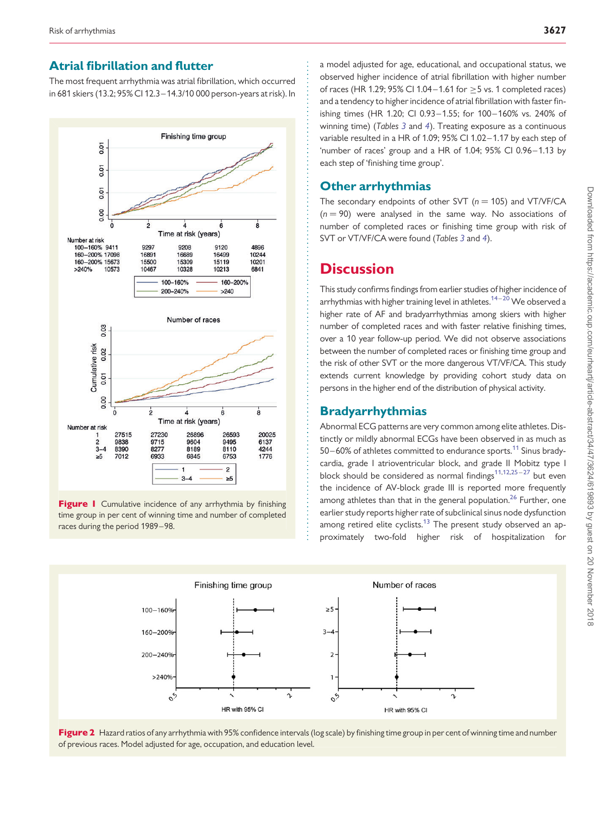# Downloaded from https://academic.oup.com/eurheart/jarticle-abstract/34/47/3624/619893 by guest on 20 November 2018 Downloaded from https://academic.oup.com/eurheartj/article-abstract/34/47/3624/619893 by guest on 20 November 2018

# <span id="page-3-0"></span>Atrial fibrillation and flutter

The most frequent arrhythmia was atrial fibrillation, which occurred in 681 skiers (13.2; 95% CI 12.3 –14.3/10 000 person-years at risk). In



Figure I Cumulative incidence of any arrhythmia by finishing time group in per cent of winning time and number of completed races during the period 1989 – 98.

a model adjusted for age, educational, and occupational status, we observed higher incidence of atrial fibrillation with higher number of races (HR 1.29; 95% CI 1.04 –1.61 for ≥5 vs. 1 completed races) and a tendency to higher incidence of atrial fibrillation with faster finishing times (HR 1.20; CI 0.93 –1.55; for 100– 160% vs. 240% of winning time) (Tables [3](#page-4-0) and [4](#page-4-0)). Treating exposure as a continuous variable resulted in a HR of 1.09; 95% CI 1.02–1.17 by each step of 'number of races' group and a HR of 1.04; 95% CI 0.96-1.13 by each step of 'finishing time group'.

# Other arrhythmias

The secondary endpoints of other SVT ( $n = 105$ ) and VT/VF/CA  $(n = 90)$  were analysed in the same way. No associations of number of completed races or finishing time group with risk of SVT or VT/VF/CA were found (Tables [3](#page-4-0) and [4](#page-4-0)).

# **Discussion**

This study confirms findings from earlier studies of higher incidence of arrhythmias with higher training level in athletes.<sup>[14](#page-6-0)–[20](#page-6-0)</sup> We observed a higher rate of AF and bradyarrhythmias among skiers with higher number of completed races and with faster relative finishing times, over a 10 year follow-up period. We did not observe associations between the number of completed races or finishing time group and the risk of other SVT or the more dangerous VT/VF/CA. This study extends current knowledge by providing cohort study data on persons in the higher end of the distribution of physical activity.

# Bradyarrhythmias

Abnormal ECG patterns are very common among elite athletes. Distinctly or mildly abnormal ECGs have been observed in as much as  $50 - 60\%$  of athletes committed to endurance sports.<sup>[11](#page-6-0)</sup> Sinus bradycardia, grade I atrioventricular block, and grade II Mobitz type I block should be considered as normal findings<sup>11,12,25-[27](#page-6-0)</sup> but even the incidence of AV-block grade III is reported more frequently among athletes than that in the general population.<sup>[26](#page-6-0)</sup> Further, one earlier study reports higher rate of subclinical sinus node dysfunction among retired elite cyclists.<sup>[13](#page-6-0)</sup> The present study observed an approximately two-fold higher risk of hospitalization for



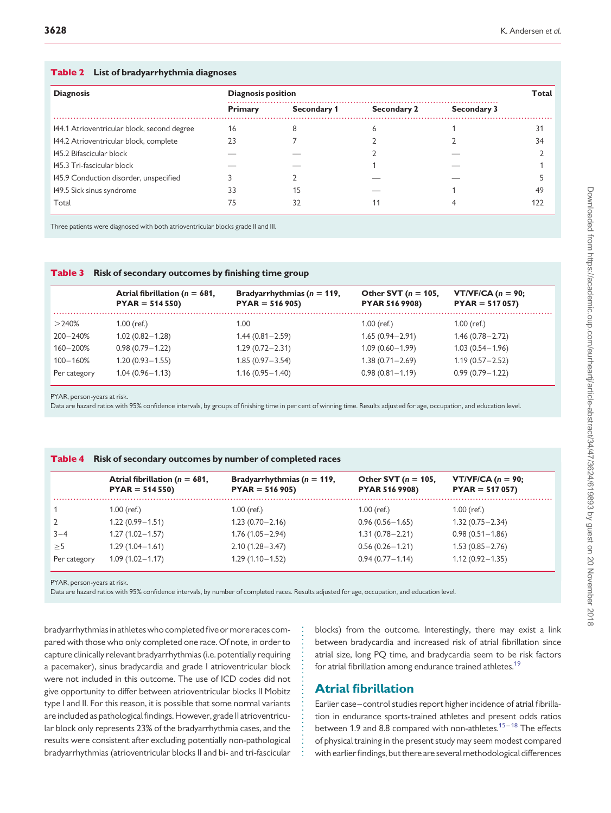#### <span id="page-4-0"></span>**3628** K. Andersen et al.

#### Table 2 List of bradyarrhythmia diagnoses

| <b>Diagnosis</b>                            | Diagnosis position |                    |                    |                    |    |
|---------------------------------------------|--------------------|--------------------|--------------------|--------------------|----|
|                                             | Primary            | <b>Secondary 1</b> | <b>Secondary 2</b> | <b>Secondary 3</b> |    |
| 144.1 Atrioventricular block, second degree | 16                 |                    |                    |                    | 31 |
| 144.2 Atrioventricular block, complete      |                    |                    |                    |                    | 34 |
| 145.2 Bifascicular block                    |                    |                    |                    |                    |    |
| 145.3 Tri-fascicular block                  |                    |                    |                    |                    |    |
| 145.9 Conduction disorder, unspecified      |                    |                    |                    |                    |    |
| 149.5 Sick sinus syndrome                   | 33                 | 15                 |                    |                    | 49 |
| Total                                       | 75                 | 32                 |                    |                    |    |

Three patients were diagnosed with both atrioventricular blocks grade II and III.

|  | <b>Table 3</b> Risk of secondary outcomes by finishing time group |  |  |  |
|--|-------------------------------------------------------------------|--|--|--|
|--|-------------------------------------------------------------------|--|--|--|

|              | Atrial fibrillation ( $n = 681$ ,<br>$PYAR = 514550$ | Bradyarrhythmias ( $n = 119$ ,<br>$PYAR = 516905$ | Other SVT ( $n = 105$ ,<br><b>PYAR 516 9908)</b> | $VT/VF/CA (n = 90;$<br>$PYAR = 517057$ |
|--------------|------------------------------------------------------|---------------------------------------------------|--------------------------------------------------|----------------------------------------|
| >240%        | $1.00$ (ref.)                                        | 1.00                                              | $1.00$ (ref.)                                    | $1.00$ (ref.)                          |
| $200 - 240%$ | $1.02(0.82 - 1.28)$                                  | $1.44(0.81 - 2.59)$                               | $1.65(0.94 - 2.91)$                              | $1.46(0.78 - 2.72)$                    |
| $160 - 200%$ | $0.98(0.79 - 1.22)$                                  | $1.29(0.72 - 2.31)$                               | $1.09(0.60 - 1.99)$                              | $1.03(0.54 - 1.96)$                    |
| $100 - 160%$ | $1.20(0.93 - 1.55)$                                  | $1.85(0.97 - 3.54)$                               | $1.38(0.71 - 2.69)$                              | $1.19(0.57 - 2.52)$                    |
| Per category | $1.04(0.96 - 1.13)$                                  | $1.16(0.95 - 1.40)$                               | $0.98(0.81 - 1.19)$                              | $0.99(0.79 - 1.22)$                    |
|              |                                                      |                                                   |                                                  |                                        |

PYAR, person-years at risk.

Data are hazard ratios with 95% confidence intervals, by groups of finishing time in per cent of winning time. Results adjusted for age, occupation, and education level.

| Table 4      | Risk of secondary outcomes by number of completed races |                                                   |                                                  |                                        |  |  |
|--------------|---------------------------------------------------------|---------------------------------------------------|--------------------------------------------------|----------------------------------------|--|--|
|              | Atrial fibrillation ( $n = 681$ ,<br>$PYAR = 514550$    | Bradyarrhythmias ( $n = 119$ ,<br>$PYAR = 516905$ | Other SVT ( $n = 105$ ,<br><b>PYAR 516 9908)</b> | $VT/VF/CA (n = 90;$<br>$PYAR = 517057$ |  |  |
|              | $1.00$ (ref.)                                           | $1.00$ (ref.)                                     | $1.00$ (ref.)                                    | $1.00$ (ref.)                          |  |  |
|              | $1.22(0.99 - 1.51)$                                     | $1.23(0.70 - 2.16)$                               | $0.96(0.56 - 1.65)$                              | $1.32(0.75 - 2.34)$                    |  |  |
| $3 - 4$      | $1.27(1.02 - 1.57)$                                     | $1.76(1.05 - 2.94)$                               | $1.31(0.78 - 2.21)$                              | $0.98(0.51 - 1.86)$                    |  |  |
| >5           | $1.29(1.04 - 1.61)$                                     | $2.10(1.28 - 3.47)$                               | $0.56(0.26 - 1.21)$                              | $1.53(0.85 - 2.76)$                    |  |  |
| Per category | $1.09(1.02 - 1.17)$                                     | $1.29(1.10 - 1.52)$                               | $0.94(0.77 - 1.14)$                              | $1.12(0.92 - 1.35)$                    |  |  |

PYAR, person-years at risk.

Data are hazard ratios with 95% confidence intervals, by number of completed races. Results adjusted for age, occupation, and education level.

bradyarrhythmias in athletes who completed five or more races compared with those who only completed one race. Of note, in order to capture clinically relevant bradyarrhythmias (i.e. potentially requiring a pacemaker), sinus bradycardia and grade I atrioventricular block were not included in this outcome. The use of ICD codes did not give opportunity to differ between atrioventricular blocks II Mobitz type I and II. For this reason, it is possible that some normal variants are included as pathological findings. However, grade II atrioventricular block only represents 23% of the bradyarrhythmia cases, and the results were consistent after excluding potentially non-pathological bradyarrhythmias (atrioventricular blocks II and bi- and tri-fascicular blocks) from the outcome. Interestingly, there may exist a link between bradycardia and increased risk of atrial fibrillation since atrial size, long PQ time, and bradycardia seem to be risk factors for atrial fibrillation among endurance trained athletes.<sup>[19](#page-6-0)</sup>

### Atrial fibrillation

Earlier case–control studies report higher incidence of atrial fibrillation in endurance sports-trained athletes and present odds ratios between 1.9 and 8.8 compared with non-athletes.<sup>15-[18](#page-6-0)</sup> The effects of physical training in the present study may seem modest compared with earlier findings, but there are several methodological differences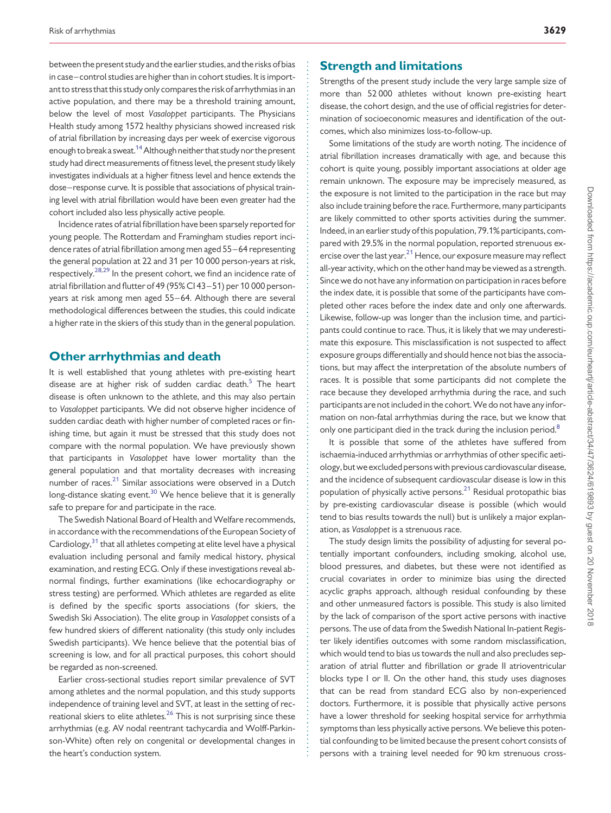between the present study and the earlier studies, and the risks of bias in case –control studies are higher than in cohort studies. It is important to stress that this study only compares the risk of arrhythmias in an active population, and there may be a threshold training amount, below the level of most Vasaloppet participants. The Physicians Health study among 1572 healthy physicians showed increased risk of atrial fibrillation by increasing days per week of exercise vigorous enough to break a sweat.<sup>14</sup> Although neither that study nor the present study had direct measurements of fitness level, the present study likely investigates individuals at a higher fitness level and hence extends the dose–response curve. It is possible that associations of physical training level with atrial fibrillation would have been even greater had the cohort included also less physically active people.

Incidence rates of atrial fibrillation have been sparsely reported for young people. The Rotterdam and Framingham studies report incidence rates of atrial fibrillation among men aged 55– 64 representing the general population at 22 and 31 per 10 000 person-years at risk, respectively[.28,29](#page-6-0) In the present cohort, we find an incidence rate of atrial fibrillation and flutter of 49 (95% CI 43–51) per 10 000 personyears at risk among men aged 55–64. Although there are several methodological differences between the studies, this could indicate a higher rate in the skiers of this study than in the general population.

#### Other arrhythmias and death

It is well established that young athletes with pre-existing heart disease are at higher risk of sudden cardiac death.<sup>[5](#page-6-0)</sup> The heart disease is often unknown to the athlete, and this may also pertain to Vasaloppet participants. We did not observe higher incidence of sudden cardiac death with higher number of completed races or finishing time, but again it must be stressed that this study does not compare with the normal population. We have previously shown that participants in Vasaloppet have lower mortality than the general population and that mortality decreases with increasing number of races.<sup>[21](#page-6-0)</sup> Similar associations were observed in a Dutch long-distance skating event.<sup>[30](#page-6-0)</sup> We hence believe that it is generally safe to prepare for and participate in the race.

The Swedish National Board of Health and Welfare recommends, in accordance with the recommendations of the European Society of Cardiology, $31$  that all athletes competing at elite level have a physical evaluation including personal and family medical history, physical examination, and resting ECG. Only if these investigations reveal abnormal findings, further examinations (like echocardiography or stress testing) are performed. Which athletes are regarded as elite is defined by the specific sports associations (for skiers, the Swedish Ski Association). The elite group in Vasaloppet consists of a few hundred skiers of different nationality (this study only includes Swedish participants). We hence believe that the potential bias of screening is low, and for all practical purposes, this cohort should be regarded as non-screened.

Earlier cross-sectional studies report similar prevalence of SVT among athletes and the normal population, and this study supports independence of training level and SVT, at least in the setting of recreational skiers to elite athletes. $26$  This is not surprising since these arrhythmias (e.g. AV nodal reentrant tachycardia and Wolff-Parkinson-White) often rely on congenital or developmental changes in the heart's conduction system.

#### Strength and limitations

Strengths of the present study include the very large sample size of more than 52 000 athletes without known pre-existing heart disease, the cohort design, and the use of official registries for determination of socioeconomic measures and identification of the outcomes, which also minimizes loss-to-follow-up.

Some limitations of the study are worth noting. The incidence of atrial fibrillation increases dramatically with age, and because this cohort is quite young, possibly important associations at older age remain unknown. The exposure may be imprecisely measured, as the exposure is not limited to the participation in the race but may also include training before the race. Furthermore, many participants are likely committed to other sports activities during the summer. Indeed, in an earlier study of this population, 79.1% participants, compared with 29.5% in the normal population, reported strenuous ex-ercise over the last year.<sup>[21](#page-6-0)</sup> Hence, our exposure measure may reflect all-year activity, which on the other hand may be viewed as a strength. Since we do not have any information on participation in races before the index date, it is possible that some of the participants have completed other races before the index date and only one afterwards. Likewise, follow-up was longer than the inclusion time, and participants could continue to race. Thus, it is likely that we may underestimate this exposure. This misclassification is not suspected to affect exposure groups differentially and should hence not bias the associations, but may affect the interpretation of the absolute numbers of races. It is possible that some participants did not complete the race because they developed arrhythmia during the race, and such participants are not included in the cohort.We do not have any information on non-fatal arrhythmias during the race, but we know that only one participant died in the track during the inclusion period.<sup>[8](#page-6-0)</sup>

It is possible that some of the athletes have suffered from ischaemia-induced arrhythmias or arrhythmias of other specific aetiology, but we excluded persons with previous cardiovascular disease, and the incidence of subsequent cardiovascular disease is low in this population of physically active persons. $2<sup>1</sup>$  Residual protopathic bias by pre-existing cardiovascular disease is possible (which would tend to bias results towards the null) but is unlikely a major explanation, as Vasaloppet is a strenuous race.

The study design limits the possibility of adjusting for several potentially important confounders, including smoking, alcohol use, blood pressures, and diabetes, but these were not identified as crucial covariates in order to minimize bias using the directed acyclic graphs approach, although residual confounding by these and other unmeasured factors is possible. This study is also limited by the lack of comparison of the sport active persons with inactive persons. The use of data from the Swedish National In-patient Register likely identifies outcomes with some random misclassification, which would tend to bias us towards the null and also precludes separation of atrial flutter and fibrillation or grade II atrioventricular blocks type I or II. On the other hand, this study uses diagnoses that can be read from standard ECG also by non-experienced doctors. Furthermore, it is possible that physically active persons have a lower threshold for seeking hospital service for arrhythmia symptoms than less physically active persons. We believe this potential confounding to be limited because the present cohort consists of persons with a training level needed for 90 km strenuous cross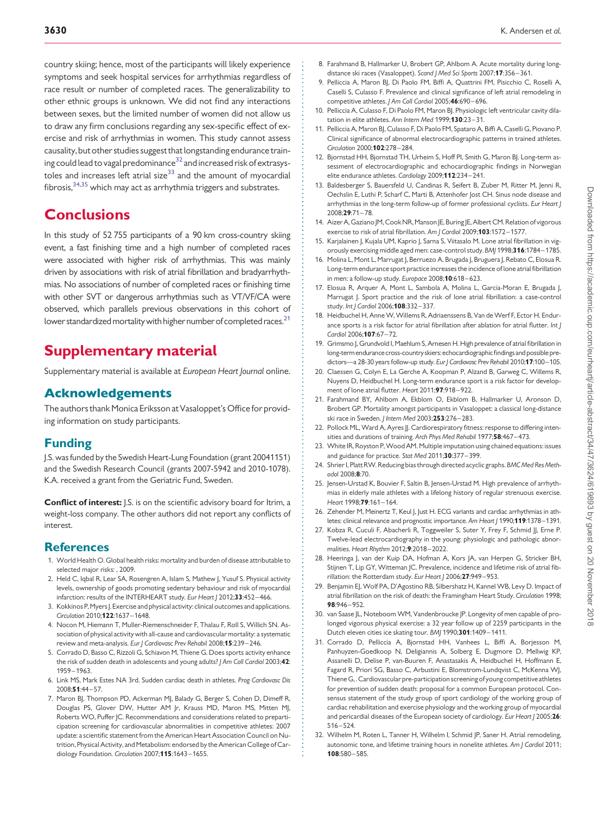<span id="page-6-0"></span>country skiing; hence, most of the participants will likely experience symptoms and seek hospital services for arrhythmias regardless of race result or number of completed races. The generalizability to other ethnic groups is unknown. We did not find any interactions between sexes, but the limited number of women did not allow us to draw any firm conclusions regarding any sex-specific effect of exercise and risk of arrhythmias in women. This study cannot assess causality, but other studies suggest that longstanding endurance training could lead to vagal predominance<sup>32</sup> and increased risk of extrasystoles and increases left atrial size $33$  and the amount of myocardial fibrosis,<sup>34,35</sup> which may act as arrhythmia triggers and substrates.

# **Conclusions**

In this study of 52 755 participants of a 90 km cross-country skiing event, a fast finishing time and a high number of completed races were associated with higher risk of arrhythmias. This was mainly driven by associations with risk of atrial fibrillation and bradyarrhythmias. No associations of number of completed races or finishing time with other SVT or dangerous arrhythmias such as VT/VF/CA were observed, which parallels previous observations in this cohort of lower standardized mortality with higher number of completed races.<sup>21</sup>

# Supplementary material

[Supplementary material is available at](http://eurheartj.oxfordjournals.org/lookup/suppl/doi:10.1093/eurheartj/eht188/-/DC1) European Heart Journal online.

#### Acknowledgements

The authors thank Monica Eriksson at Vasaloppet's Office for providing information on study participants.

#### Funding

J.S. was funded by the Swedish Heart-Lung Foundation (grant 20041151) and the Swedish Research Council (grants 2007-5942 and 2010-1078). K.A. received a grant from the Geriatric Fund, Sweden.

Conflict of interest: J.S. is on the scientific advisory board for Itrim, a weight-loss company. The other authors did not report any conflicts of interest.

#### **References**

- 1. World Health O. Global health risks: mortality and burden of disease attributable to selected major risks: , 2009.
- 2. Held C, Iqbal R, Lear SA, Rosengren A, Islam S, Mathew J, Yusuf S. Physical activity levels, ownership of goods promoting sedentary behaviour and risk of myocardial infarction: results of the INTERHEART study. Eur Heart J 2012;33:452-466.
- 3. Kokkinos P, Myers J. Exercise and physical activity: clinical outcomes and applications. Circulation 2010;122:1637 –1648.
- 4. Nocon M, Hiemann T, Muller-Riemenschneider F, Thalau F, Roll S, Willich SN. Association of physical activity with all-cause and cardiovascular mortality: a systematic review and meta-analysis. Eur J Cardiovasc Prev Rehabil 2008;15:239-246.
- 5. Corrado D, Basso C, Rizzoli G, Schiavon M, Thiene G. Does sports activity enhance the risk of sudden death in adolescents and young adults? J Am Coll Cardiol 2003;42: 1959 –1963.
- 6. Link MS, Mark Estes NA 3rd. Sudden cardiac death in athletes. Prog Cardiovasc Dis 2008;51:44 –57.
- 7. Maron BJ, Thompson PD, Ackerman MJ, Balady G, Berger S, Cohen D, Dimeff R, Douglas PS, Glover DW, Hutter AM Jr, Krauss MD, Maron MS, Mitten MJ, Roberts WO, Puffer JC. Recommendations and considerations related to preparticipation screening for cardiovascular abnormalities in competitive athletes: 2007 update: a scientific statement from the American Heart Association Council on Nutrition, Physical Activity, and Metabolism: endorsed by the American College of Cardiology Foundation. Circulation 2007;115:1643-1655.
- 8. Farahmand B, Hallmarker U, Brobert GP, Ahlbom A. Acute mortality during longdistance ski races (Vasaloppet). Scand | Med Sci Sports 2007;17:356-361.
- 9. Pelliccia A, Maron BJ, Di Paolo FM, Biffi A, Quattrini FM, Pisicchio C, Roselli A, Caselli S, Culasso F. Prevalence and clinical significance of left atrial remodeling in competitive athletes. J Am Coll Cardiol 2005;46:690 –696.
- 10. Pelliccia A, Culasso F, Di Paolo FM, Maron BJ. Physiologic left ventricular cavity dilatation in elite athletes. Ann Intern Med 1999;130:23-31.
- 11. Pelliccia A, Maron BJ, Culasso F, Di Paolo FM, Spataro A, Biffi A, Caselli G, Piovano P. Clinical significance of abnormal electrocardiographic patterns in trained athletes. Circulation 2000:102:278-284.
- 12. Bjornstad HH, Bjornstad TH, Urheim S, Hoff PI, Smith G, Maron BJ. Long-term assessment of electrocardiographic and echocardiographic findings in Norwegian elite endurance athletes. Cardiology 2009;112:234-241.
- 13. Baldesberger S, Bauersfeld U, Candinas R, Seifert B, Zuber M, Ritter M, Jenni R, Oechslin E, Luthi P, Scharf C, Marti B, Attenhofer Jost CH. Sinus node disease and arrhythmias in the long-term follow-up of former professional cyclists. Eur Heart J 2008;29:71– 78.
- 14. Aizer A, Gaziano JM,Cook NR, Manson JE, Buring JE, Albert CM. Relation of vigorous exercise to risk of atrial fibrillation. Am J Cardiol 2009;103:1572-1577.
- 15. Karjalainen J, Kujala UM, Kaprio J, Sarna S, Viitasalo M. Lone atrial fibrillation in vigorously exercising middle aged men: case-control study. BMJ 1998;316:1784-1785.
- 16. Molina L, Mont L, Marrugat J, Berruezo A, Brugada J, Bruguera J, Rebato C, Elosua R. Long-term endurance sport practice increases the incidence of lone atrial fibrillation in men: a follow-up study. Europace 2008;10:618-623.
- 17. Elosua R, Arquer A, Mont L, Sambola A, Molina L, Garcia-Moran E, Brugada J, Marrugat J. Sport practice and the risk of lone atrial fibrillation: a case-control study. Int J Cardiol 2006;108:332-337.
- 18. Heidbuchel H, Anne W, Willems R, Adriaenssens B, Van de Werf F, Ector H. Endurance sports is a risk factor for atrial fibrillation after ablation for atrial flutter. Int | Cardiol 2006;107:67–72.
- 19. Grimsmo J, Grundvold I, Maehlum S, Arnesen H. High prevalence of atrial fibrillation in long-termendurance cross-country skiers:echocardiographic findingsand possible predictors-a 28-30 years follow-up study. Eur J Cardiovasc Prev Rehabil 2010;17:100-105.
- 20. Claessen G, Colyn E, La Gerche A, Koopman P, Alzand B, Garweg C, Willems R, Nuyens D, Heidbuchel H. Long-term endurance sport is a risk factor for development of lone atrial flutter. Heart 2011;97:918-922.
- 21. Farahmand BY, Ahlbom A, Ekblom O, Ekblom B, Hallmarker U, Aronson D, Brobert GP. Mortality amongst participants in Vasaloppet: a classical long-distance ski race in Sweden. *I Intern Med* 2003:253:276-283.
- 22. Pollock ML, Ward A, Ayres JJ. Cardiorespiratory fitness: response to differing intensities and durations of training. Arch Phys Med Rehabil 1977;58:467 –473.
- 23. White IR, Royston P,Wood AM. Multiple imputation using chained equations: issues and guidance for practice. Stat Med 2011;30:377–399.
- 24. Shrier I, Platt RW. Reducing bias through directed acyclic graphs. BMC Med Res Methodol 2008;8:70.
- 25. Jensen-Urstad K, Bouvier F, Saltin B, Jensen-Urstad M. High prevalence of arrhythmias in elderly male athletes with a lifelong history of regular strenuous exercise. Heart 1998:79:161-164.
- 26. Zehender M, Meinertz T, Keul J, Just H. ECG variants and cardiac arrhythmias in athletes: clinical relevance and prognostic importance. Am Heart J 1990;119:1378-1391.
- 27. Kobza R, Cuculi F, Abacherli R, Toggweiler S, Suter Y, Frey F, Schmid JJ, Erne P. Twelve-lead electrocardiography in the young: physiologic and pathologic abnormalities. Heart Rhythm 2012;9:2018 –2022.
- 28. Heeringa J, van der Kuip DA, Hofman A, Kors JA, van Herpen G, Stricker BH, Stijnen T, Lip GY, Witteman JC. Prevalence, incidence and lifetime risk of atrial fibrillation: the Rotterdam study. Eur Heart J 2006;27:949-953.
- 29. Benjamin EJ, Wolf PA, D'Agostino RB, Silbershatz H, Kannel WB, Levy D. Impact of atrial fibrillation on the risk of death: the Framingham Heart Study. Circulation 1998; 98:946 – 952.
- 30. van Saase JL, Noteboom WM, Vandenbroucke JP. Longevity of men capable of prolonged vigorous physical exercise: a 32 year follow up of 2259 participants in the Dutch eleven cities ice skating tour. BMJ 1990;301:1409-1411.
- 31. Corrado D, Pelliccia A, Bjornstad HH, Vanhees L, Biffi A, Borjesson M, Panhuyzen-Goedkoop N, Deligiannis A, Solberg E, Dugmore D, Mellwig KP, Assanelli D, Delise P, van-Buuren F, Anastasakis A, Heidbuchel H, Hoffmann E, Fagard R, Priori SG, Basso C, Arbustini E, Blomstrom-Lundqvist C, McKenna WJ, Thiene G, .Cardiovascular pre-participation screening of young competitive athletes for prevention of sudden death: proposal for a common European protocol. Consensus statement of the study group of sport cardiology of the working group of cardiac rehabilitation and exercise physiology and the working group of myocardial and pericardial diseases of the European society of cardiology. Eur Heart J 2005;26: 516 –524.
- 32. Wilhelm M, Roten L, Tanner H, Wilhelm I, Schmid JP, Saner H. Atrial remodeling, autonomic tone, and lifetime training hours in nonelite athletes. Am J Cardiol 2011; 108:580 – 585.